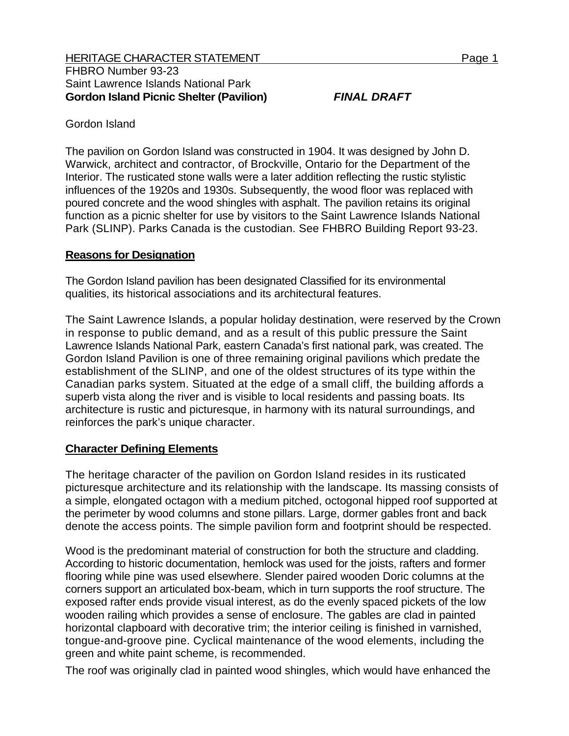## Gordon Island

The pavilion on Gordon Island was constructed in 1904. It was designed by John D. Warwick, architect and contractor, of Brockville, Ontario for the Department of the Interior. The rusticated stone walls were a later addition reflecting the rustic stylistic influences of the 1920s and 1930s. Subsequently, the wood floor was replaced with poured concrete and the wood shingles with asphalt. The pavilion retains its original function as a picnic shelter for use by visitors to the Saint Lawrence Islands National Park (SLINP). Parks Canada is the custodian. See FHBRO Building Report 93-23.

## **Reasons for Designation**

The Gordon Island pavilion has been designated Classified for its environmental qualities, its historical associations and its architectural features.

The Saint Lawrence Islands, a popular holiday destination, were reserved by the Crown in response to public demand, and as a result of this public pressure the Saint Lawrence Islands National Park, eastern Canada's first national park, was created. The Gordon Island Pavilion is one of three remaining original pavilions which predate the establishment of the SLINP, and one of the oldest structures of its type within the Canadian parks system. Situated at the edge of a small cliff, the building affords a superb vista along the river and is visible to local residents and passing boats. Its architecture is rustic and picturesque, in harmony with its natural surroundings, and reinforces the park's unique character.

## **Character Defining Elements**

The heritage character of the pavilion on Gordon Island resides in its rusticated picturesque architecture and its relationship with the landscape. Its massing consists of a simple, elongated octagon with a medium pitched, octogonal hipped roof supported at the perimeter by wood columns and stone pillars. Large, dormer gables front and back denote the access points. The simple pavilion form and footprint should be respected.

Wood is the predominant material of construction for both the structure and cladding. According to historic documentation, hemlock was used for the joists, rafters and former flooring while pine was used elsewhere. Slender paired wooden Doric columns at the corners support an articulated box-beam, which in turn supports the roof structure. The exposed rafter ends provide visual interest, as do the evenly spaced pickets of the low wooden railing which provides a sense of enclosure. The gables are clad in painted horizontal clapboard with decorative trim; the interior ceiling is finished in varnished, tongue-and-groove pine. Cyclical maintenance of the wood elements, including the green and white paint scheme, is recommended.

The roof was originally clad in painted wood shingles, which would have enhanced the